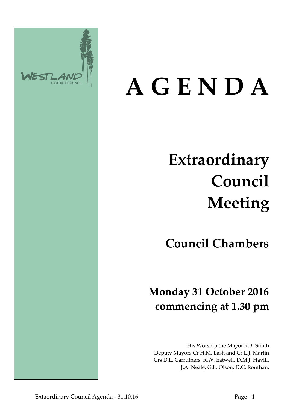

# **A G E N D A**

## **Extraordinary Council Meeting**

## **Council Chambers**

## **Monday 31 October 2016 commencing at 1.30 pm**

His Worship the Mayor R.B. Smith Deputy Mayors Cr H.M. Lash and Cr L.J. Martin Crs D.L. Carruthers, R.W. Eatwell, D.M.J. Havill, J.A. Neale, G.L. Olson, D.C. Routhan.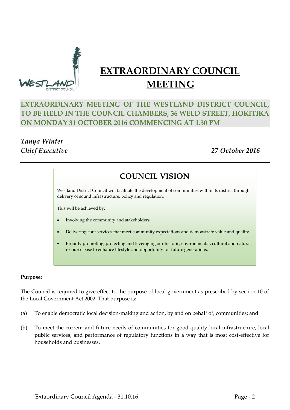

### **EXTRAORDINARY COUNCIL MEETING**

#### **EXTRAORDINARY MEETING OF THE WESTLAND DISTRICT COUNCIL, TO BE HELD IN THE COUNCIL CHAMBERS, 36 WELD STREET, HOKITIKA ON MONDAY 31 OCTOBER 2016 COMMENCING AT 1.30 PM**

## *Tanya Winter*

*Chief Executive 27 October 2016*

### **COUNCIL VISION**

Westland District Council will facilitate the development of communities within its district through delivery of sound infrastructure, policy and regulation.

This will be achieved by:

- Involving the community and stakeholders.
- Delivering core services that meet community expectations and demonstrate value and quality.
- Proudly promoting, protecting and leveraging our historic, environmental, cultural and natural resource base to enhance lifestyle and opportunity for future generations.

#### **Purpose:**

The Council is required to give effect to the purpose of local government as prescribed by section 10 of the Local Government Act 2002. That purpose is:

- (a) To enable democratic local decision-making and action, by and on behalf of, communities; and
- (b) To meet the current and future needs of communities for good-quality local infrastructure, local public services, and performance of regulatory functions in a way that is most cost-effective for households and businesses.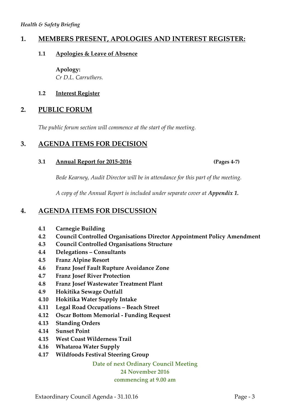#### **1. MEMBERS PRESENT, APOLOGIES AND INTEREST REGISTER:**

#### **1.1 Apologies & Leave of Absence**

**Apology:** *Cr D.L. Carruthers.*

#### **1.2 Interest Register**

#### **2. PUBLIC FORUM**

*The public forum section will commence at the start of the meeting.*

#### **3. AGENDA ITEMS FOR DECISION**

**3.1 Annual Report for 2015-2016 (Pages 4-7)**

*Bede Kearney, Audit Director will be in attendance for this part of the meeting.*

*A copy of the Annual Report is included under separate cover at Appendix 1.* 

#### **4. AGENDA ITEMS FOR DISCUSSION**

- **4.1 Carnegie Building**
- **4.2 Council Controlled Organisations Director Appointment Policy Amendment**
- **4.3 Council Controlled Organisations Structure**
- **4.4 Delegations – Consultants**
- **4.5 Franz Alpine Resort**
- **4.6 Franz Josef Fault Rupture Avoidance Zone**
- **4.7 Franz Josef River Protection**
- **4.8 Franz Josef Wastewater Treatment Plant**
- **4.9 Hokitika Sewage Outfall**
- **4.10 Hokitika Water Supply Intake**
- **4.11 Legal Road Occupations – Beach Street**
- **4.12 Oscar Bottom Memorial - Funding Request**
- **4.13 Standing Orders**
- **4.14 Sunset Point**
- **4.15 West Coast Wilderness Trail**
- **4.16 Whataroa Water Supply**
- **4.17 Wildfoods Festival Steering Group**

**Date of next Ordinary Council Meeting**

#### **24 November 2016**

**commencing at 9.00 am**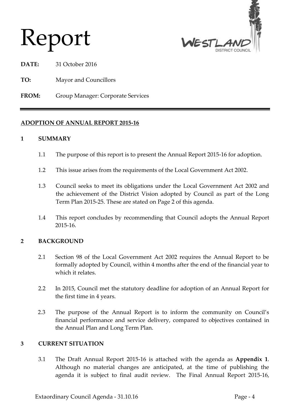## Report



**DATE:** 31 October 2016

- **TO:** Mayor and Councillors
- **FROM:** Group Manager: Corporate Services

#### **ADOPTION OF ANNUAL REPORT 2015-16**

#### **1 SUMMARY**

- 1.1 The purpose of this report is to present the Annual Report 2015-16 for adoption.
- 1.2 This issue arises from the requirements of the Local Government Act 2002.
- 1.3 Council seeks to meet its obligations under the Local Government Act 2002 and the achievement of the District Vision adopted by Council as part of the Long Term Plan 2015-25. These are stated on Page 2 of this agenda.
- 1.4 This report concludes by recommending that Council adopts the Annual Report 2015-16.

#### **2 BACKGROUND**

- 2.1 Section 98 of the Local Government Act 2002 requires the Annual Report to be formally adopted by Council, within 4 months after the end of the financial year to which it relates.
- 2.2 In 2015, Council met the statutory deadline for adoption of an Annual Report for the first time in 4 years.
- 2.3 The purpose of the Annual Report is to inform the community on Council's financial performance and service delivery, compared to objectives contained in the Annual Plan and Long Term Plan.

#### **3 CURRENT SITUATION**

3.1 The Draft Annual Report 2015-16 is attached with the agenda as **Appendix 1**. Although no material changes are anticipated, at the time of publishing the agenda it is subject to final audit review. The Final Annual Report 2015-16,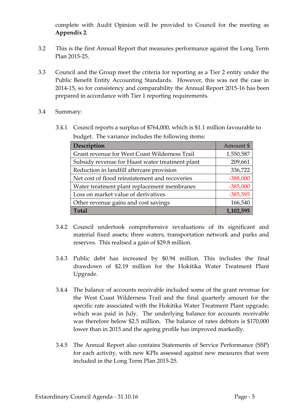complete with Audit Opinion will be provided to Council for the meeting as **Appendix 2**.

- 3.2 This is the first Annual Report that measures performance against the Long Term Plan 2015-25.
- 3.3 Council and the Group meet the criteria for reporting as a Tier 2 entity under the Public Benefit Entity Accounting Standards. However, this was not the case in 2014-15, so for consistency and comparability the Annual Report 2015-16 has been prepared in accordance with Tier 1 reporting requirements.
- 3.4 Summary:
	- 3.4.1 Council reports a surplus of \$764,000, which is \$1.1 million favourable to budget. The variance includes the following items:

| Description                                     | Amount \$  |
|-------------------------------------------------|------------|
| Grant revenue for West Coast Wilderness Trail   | 1,550,587  |
| Subsidy revenue for Haast water treatment plant | 209,661    |
| Reduction in landfill aftercare provision       | 336,722    |
| Net cost of flood reinstatement and recoveries  | $-388,000$ |
| Water treatment plant replacement membranes     | $-385,000$ |
| Loss on market value of derivatives             | $-385,595$ |
| Other revenue gains and cost savings            | 166,540    |
| <b>Total</b>                                    | 1,102,595  |

- 3.4.2 Council undertook comprehensive revaluations of its significant and material fixed assets; three waters, transportation network and parks and reserves. This realised a gain of \$29.8 million.
- 3.4.3 Public debt has increased by \$0.94 million. This includes the final drawdown of \$2.19 million for the Hokitika Water Treatment Plant Upgrade.
- 3.4.4 The balance of accounts receivable included some of the grant revenue for the West Coast Wilderness Trail and the final quarterly amount for the specific rate associated with the Hokitika Water Treatment Plant upgrade, which was paid in July. The underlying balance for accounts receivable was therefore below \$2.5 million. The balance of rates debtors is \$170,000 lower than in 2015 and the ageing profile has improved markedly.
- 3.4.5 The Annual Report also contains Statements of Service Performance (SSP) for each activity, with new KPIs assessed against new measures that were included in the Long Term Plan 2015-25.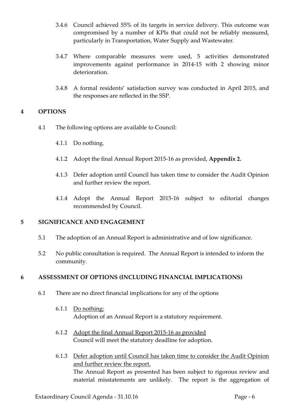- 3.4.6 Council achieved 55% of its targets in service delivery. This outcome was compromised by a number of KPIs that could not be reliably measured, particularly in Transportation, Water Supply and Wastewater.
- 3.4.7 Where comparable measures were used, 5 activities demonstrated improvements against performance in 2014-15 with 2 showing minor deterioration.
- 3.4.8 A formal residents' satisfaction survey was conducted in April 2015, and the responses are reflected in the SSP.

#### **4 OPTIONS**

- 4.1 The following options are available to Council:
	- 4.1.1 Do nothing.
	- 4.1.2 Adopt the final Annual Report 2015-16 as provided, **Appendix 2.**
	- 4.1.3 Defer adoption until Council has taken time to consider the Audit Opinion and further review the report.
	- 4.1.4 Adopt the Annual Report 2015-16 subject to editorial changes recommended by Council.

#### **5 SIGNIFICANCE AND ENGAGEMENT**

- 5.1 The adoption of an Annual Report is administrative and of low significance.
- 5.2 No public consultation is required. The Annual Report is intended to inform the community.

#### **6 ASSESSMENT OF OPTIONS (INCLUDING FINANCIAL IMPLICATIONS)**

- 6.1 There are no direct financial implications for any of the options
	- 6.1.1 Do nothing: Adoption of an Annual Report is a statutory requirement.
	- 6.1.2 Adopt the final Annual Report 2015-16 as provided Council will meet the statutory deadline for adoption.
	- 6.1.3 Defer adoption until Council has taken time to consider the Audit Opinion and further review the report. The Annual Report as presented has been subject to rigorous review and material misstatements are unlikely. The report is the aggregation of